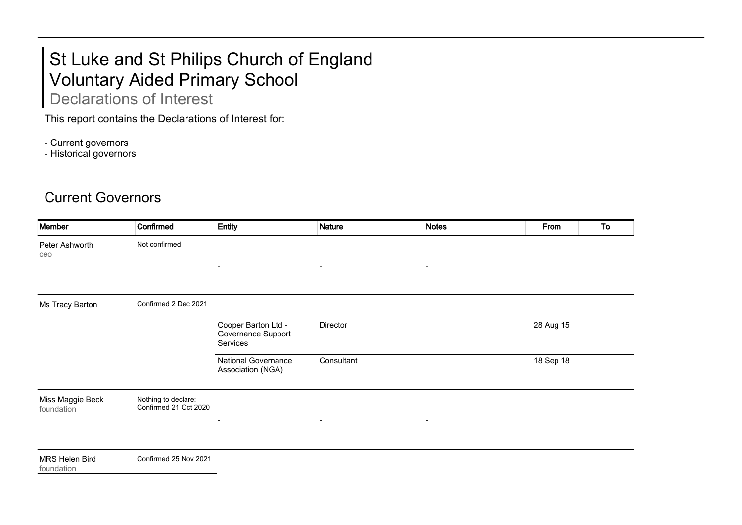## St Luke and St Philips Church of England Voluntary Aided Primary School Declarations of Interest

This report contains the Declarations of Interest for:

- Current governors

- Historical governors

## Current Governors

| Member                         | Confirmed                                    | <b>Entity</b>                                         | <b>Nature</b>            | <b>Notes</b>             | From      | To |
|--------------------------------|----------------------------------------------|-------------------------------------------------------|--------------------------|--------------------------|-----------|----|
| Peter Ashworth<br>ceo          | Not confirmed                                |                                                       |                          |                          |           |    |
|                                |                                              | $\blacksquare$                                        | $\overline{\phantom{a}}$ | $\overline{\phantom{a}}$ |           |    |
| Ms Tracy Barton                | Confirmed 2 Dec 2021                         |                                                       |                          |                          |           |    |
|                                |                                              | Cooper Barton Ltd -<br>Governance Support<br>Services | Director                 |                          | 28 Aug 15 |    |
|                                |                                              | <b>National Governance</b><br>Association (NGA)       | Consultant               |                          | 18 Sep 18 |    |
| Miss Maggie Beck<br>foundation | Nothing to declare:<br>Confirmed 21 Oct 2020 | $\blacksquare$                                        | $\blacksquare$           | $\blacksquare$           |           |    |
| MRS Helen Bird<br>foundation   | Confirmed 25 Nov 2021                        |                                                       |                          |                          |           |    |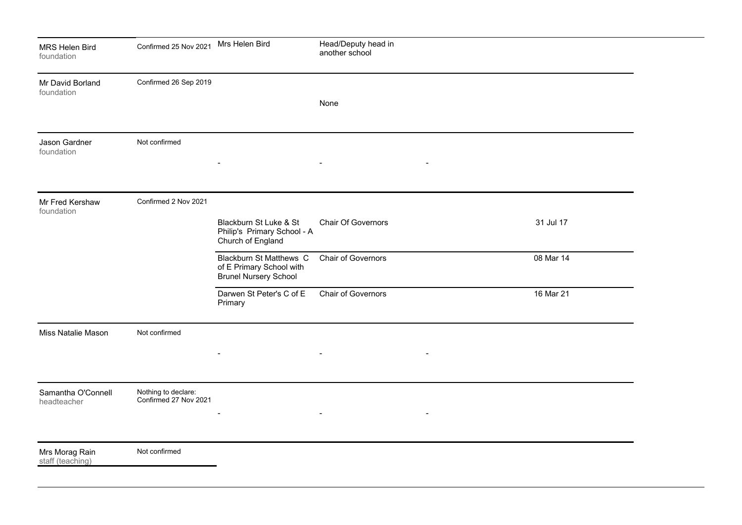| MRS Helen Bird<br>foundation       | Confirmed 25 Nov 2021                        | Mrs Helen Bird                                                                             | Head/Deputy head in<br>another school |           |  |
|------------------------------------|----------------------------------------------|--------------------------------------------------------------------------------------------|---------------------------------------|-----------|--|
| Mr David Borland<br>foundation     | Confirmed 26 Sep 2019                        |                                                                                            | None                                  |           |  |
| Jason Gardner<br>foundation        | Not confirmed                                |                                                                                            | $\overline{\phantom{a}}$              |           |  |
| Mr Fred Kershaw<br>foundation      | Confirmed 2 Nov 2021                         | Blackburn St Luke & St<br>Philip's Primary School - A<br>Church of England                 | <b>Chair Of Governors</b>             | 31 Jul 17 |  |
|                                    |                                              | <b>Blackburn St Matthews C</b><br>of E Primary School with<br><b>Brunel Nursery School</b> | <b>Chair of Governors</b>             | 08 Mar 14 |  |
|                                    |                                              | Darwen St Peter's C of E<br>Primary                                                        | <b>Chair of Governors</b>             | 16 Mar 21 |  |
| Miss Natalie Mason                 | Not confirmed                                |                                                                                            |                                       |           |  |
| Samantha O'Connell<br>headteacher  | Nothing to declare:<br>Confirmed 27 Nov 2021 | $\overline{\phantom{0}}$                                                                   | $\blacksquare$                        |           |  |
| Mrs Morag Rain<br>staff (teaching) | Not confirmed                                |                                                                                            |                                       |           |  |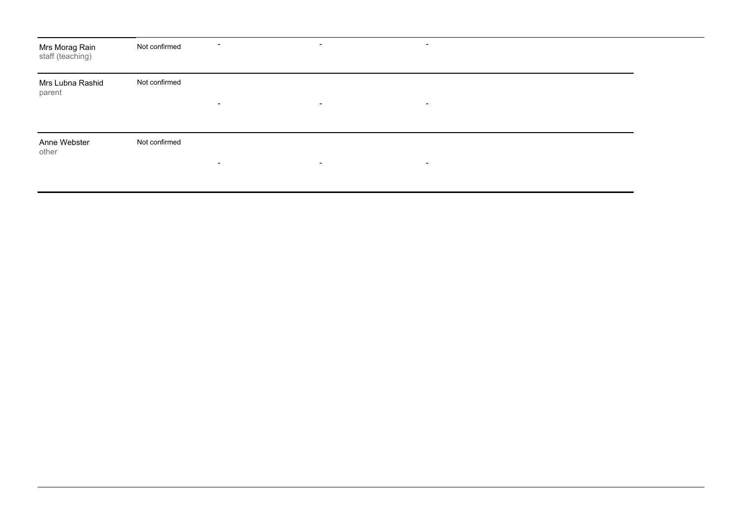| Mrs Morag Rain<br>staff (teaching) | Not confirmed | $\blacksquare$           | $\overline{\phantom{a}}$ | $\blacksquare$ |  |
|------------------------------------|---------------|--------------------------|--------------------------|----------------|--|
| Mrs Lubna Rashid<br>parent         | Not confirmed | $\blacksquare$           | $\blacksquare$           | $\blacksquare$ |  |
| Anne Webster<br>other              | Not confirmed | $\overline{\phantom{a}}$ | $\overline{\phantom{a}}$ | $\,$           |  |